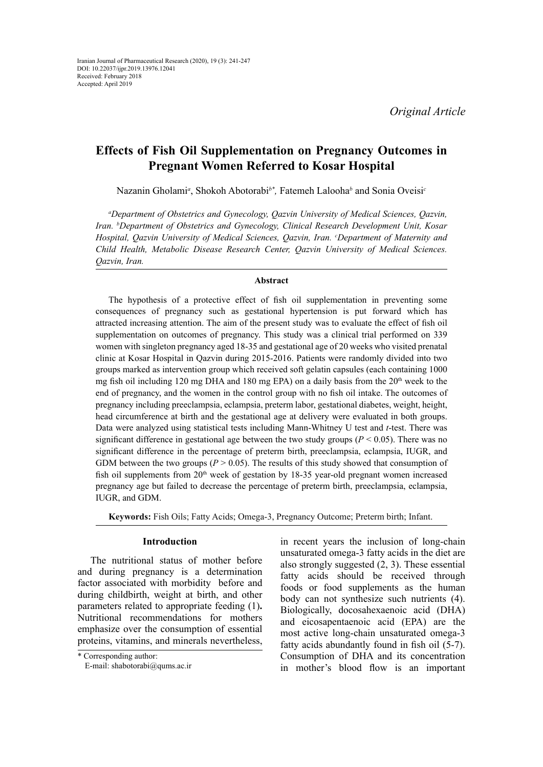# **Effects of Fish Oil Supplementation on Pregnancy Outcomes in Pregnant Women Referred to Kosar Hospital**

Nazanin Gholami<sup>a</sup>, Shokoh Abotorabi<sup>b\*</sup>, Fatemeh Lalooha<sup>b</sup> and Sonia Oveisi<sup>c</sup>

*a Department of Obstetrics and Gynecology, Qazvin University of Medical Sciences, Qazvin, Iran. b Department of Obstetrics and Gynecology, Clinical Research Development Unit, Kosar*  Hospital, Qazvin University of Medical Sciences, Qazvin, Iran. *CDepartment of Maternity and Child Health, Metabolic Disease Research Center, Qazvin University of Medical Sciences. Qazvin, Iran.*

#### **Abstract**

The hypothesis of a protective effect of fish oil supplementation in preventing some consequences of pregnancy such as gestational hypertension is put forward which has attracted increasing attention. The aim of the present study was to evaluate the effect of fish oil supplementation on outcomes of pregnancy. This study was a clinical trial performed on 339 women with singleton pregnancy aged 18-35 and gestational age of 20 weeks who visited prenatal clinic at Kosar Hospital in Qazvin during 2015-2016. Patients were randomly divided into two groups marked as intervention group which received soft gelatin capsules (each containing 1000 mg fish oil including 120 mg DHA and 180 mg EPA) on a daily basis from the  $20<sup>th</sup>$  week to the end of pregnancy, and the women in the control group with no fish oil intake. The outcomes of pregnancy including preeclampsia, eclampsia, preterm labor, gestational diabetes, weight, height, head circumference at birth and the gestational age at delivery were evaluated in both groups. Data were analyzed using statistical tests including Mann-Whitney U test and *t*-test. There was significant difference in gestational age between the two study groups ( $P < 0.05$ ). There was no significant difference in the percentage of preterm birth, preeclampsia, eclampsia, IUGR, and GDM between the two groups ( $P > 0.05$ ). The results of this study showed that consumption of fish oil supplements from  $20<sup>th</sup>$  week of gestation by 18-35 year-old pregnant women increased pregnancy age but failed to decrease the percentage of preterm birth, preeclampsia, eclampsia, IUGR, and GDM.

**Keywords:** Fish Oils; Fatty Acids; Omega-3, Pregnancy Outcome; Preterm birth; Infant.

# **Introduction**

The nutritional status of mother before and during pregnancy is a determination factor associated with morbidity before and during childbirth, weight at birth, and other parameters related to appropriate feeding (1)**.** Nutritional recommendations for mothers emphasize over the consumption of essential proteins, vitamins, and minerals nevertheless,

in recent years the inclusion of long-chain unsaturated omega-3 fatty acids in the diet are also strongly suggested (2, 3). These essential fatty acids should be received through foods or food supplements as the human body can not synthesize such nutrients (4). Biologically, docosahexaenoic acid (DHA) and eicosapentaenoic acid (EPA) are the most active long-chain unsaturated omega-3 fatty acids abundantly found in fish oil (5-7). Consumption of DHA and its concentration in mother's blood flow is an important

<sup>\*</sup> Corresponding author:

E-mail: shabotorabi@qums.ac.ir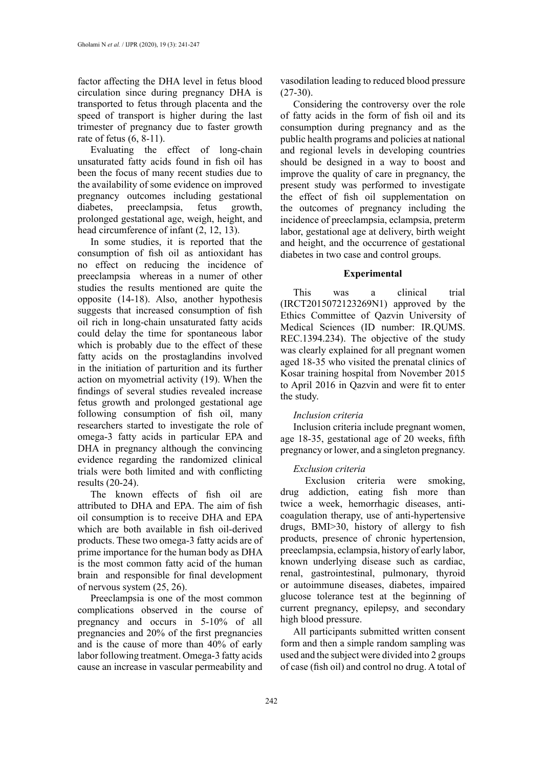factor affecting the DHA level in fetus blood circulation since during pregnancy DHA is transported to fetus through placenta and the speed of transport is higher during the last trimester of pregnancy due to faster growth rate of fetus (6, 8-11).

Evaluating the effect of long-chain unsaturated fatty acids found in fish oil has been the focus of many recent studies due to the availability of some evidence on improved pregnancy outcomes including gestational diabetes, preeclampsia, fetus growth, prolonged gestational age, weigh, height, and head circumference of infant (2, 12, 13).

In some studies, it is reported that the consumption of fish oil as antioxidant has no effect on reducing the incidence of preeclampsia whereas in a numer of other studies the results mentioned are quite the opposite (14-18). Also, another hypothesis suggests that increased consumption of fish oil rich in long-chain unsaturated fatty acids could delay the time for spontaneous labor which is probably due to the effect of these fatty acids on the prostaglandins involved in the initiation of parturition and its further action on myometrial activity (19). When the findings of several studies revealed increase fetus growth and prolonged gestational age following consumption of fish oil, many researchers started to investigate the role of omega-3 fatty acids in particular EPA and DHA in pregnancy although the convincing evidence regarding the randomized clinical trials were both limited and with conflicting results (20-24).

The known effects of fish oil are attributed to DHA and EPA. The aim of fish oil consumption is to receive DHA and EPA which are both available in fish oil-derived products. These two omega-3 fatty acids are of prime importance for the human body as DHA is the most common fatty acid of the human brain and responsible for final development of nervous system (25, 26).

Preeclampsia is one of the most common complications observed in the course of pregnancy and occurs in 5-10% of all pregnancies and 20% of the first pregnancies and is the cause of more than 40% of early labor following treatment. Omega-3 fatty acids cause an increase in vascular permeability and

vasodilation leading to reduced blood pressure  $(27-30)$ .

Considering the controversy over the role of fatty acids in the form of fish oil and its consumption during pregnancy and as the public health programs and policies at national and regional levels in developing countries should be designed in a way to boost and improve the quality of care in pregnancy, the present study was performed to investigate the effect of fish oil supplementation on the outcomes of pregnancy including the incidence of preeclampsia, eclampsia, preterm labor, gestational age at delivery, birth weight and height, and the occurrence of gestational diabetes in two case and control groups.

#### **Experimental**

This was a clinical trial (IRCT2015072123269N1) approved by the Ethics Committee of Qazvin University of Medical Sciences (ID number: IR.QUMS. REC.1394.234). The objective of the study was clearly explained for all pregnant women aged 18-35 who visited the prenatal clinics of Kosar training hospital from November 2015 to April 2016 in Qazvin and were fit to enter the study.

## *Inclusion criteria*

Inclusion criteria include pregnant women, age 18-35, gestational age of 20 weeks, fifth pregnancy or lower, and a singleton pregnancy.

## *Exclusion criteria*

 Exclusion criteria were smoking, drug addiction, eating fish more than twice a week, hemorrhagic diseases, anticoagulation therapy, use of anti-hypertensive drugs, BMI>30, history of allergy to fish products, presence of chronic hypertension, preeclampsia, eclampsia, history of early labor, known underlying disease such as cardiac, renal, gastrointestinal, pulmonary, thyroid or autoimmune diseases, diabetes, impaired glucose tolerance test at the beginning of current pregnancy, epilepsy, and secondary high blood pressure.

All participants submitted written consent form and then a simple random sampling was used and the subject were divided into 2 groups of case (fish oil) and control no drug. A total of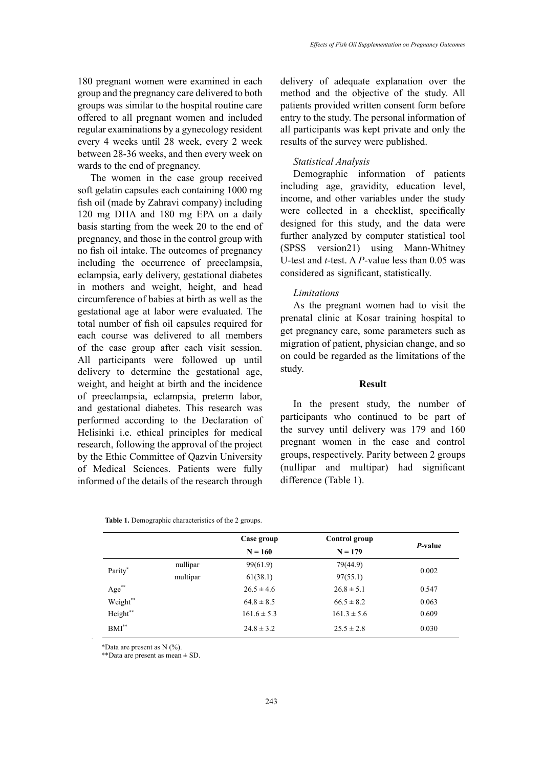180 pregnant women were examined in each group and the pregnancy care delivered to both groups was similar to the hospital routine care offered to all pregnant women and included regular examinations by a gynecology resident every 4 weeks until 28 week, every 2 week between 28-36 weeks, and then every week on wards to the end of pregnancy.

The women in the case group received soft gelatin capsules each containing 1000 mg fish oil (made by Zahravi company) including 120 mg DHA and 180 mg EPA on a daily basis starting from the week 20 to the end of pregnancy, and those in the control group with no fish oil intake. The outcomes of pregnancy including the occurrence of preeclampsia, eclampsia, early delivery, gestational diabetes in mothers and weight, height, and head circumference of babies at birth as well as the gestational age at labor were evaluated. The total number of fish oil capsules required for each course was delivered to all members of the case group after each visit session. All participants were followed up until delivery to determine the gestational age, weight, and height at birth and the incidence of preeclampsia, eclampsia, preterm labor, and gestational diabetes. This research was performed according to the Declaration of Helisinki i.e. ethical principles for medical research, following the approval of the project by the Ethic Committee of Qazvin University of Medical Sciences. Patients were fully informed of the details of the research through delivery of adequate explanation over the method and the objective of the study. All patients provided written consent form before entry to the study. The personal information of all participants was kept private and only the results of the survey were published.

# *Statistical Analysis*

Demographic information of patients including age, gravidity, education level, income, and other variables under the study were collected in a checklist, specifically designed for this study, and the data were further analyzed by computer statistical tool (SPSS version21) using Mann-Whitney U-test and *t*-test. A *P*-value less than 0.05 was considered as significant, statistically.

# *Limitations*

As the pregnant women had to visit the prenatal clinic at Kosar training hospital to get pregnancy care, some parameters such as migration of patient, physician change, and so on could be regarded as the limitations of the study.

# **Result**

In the present study, the number of participants who continued to be part of the survey until delivery was 179 and 160 pregnant women in the case and control groups, respectively. Parity between 2 groups (nullipar and multipar) had significant difference (Table 1).

| <b>Table 1.</b> Demographic characteristics of the 2 groups. |
|--------------------------------------------------------------|
|--------------------------------------------------------------|

|          |          | Case group             | Control group   | P-value |
|----------|----------|------------------------|-----------------|---------|
|          |          | $N = 160$<br>$N = 179$ |                 |         |
| Parity*  | nullipar | 99(61.9)               | 79(44.9)        | 0.002   |
|          | multipar | 61(38.1)               | 97(55.1)        |         |
| Age**    |          | $26.5 \pm 4.6$         | $26.8 \pm 5.1$  | 0.547   |
| Weight** |          | $64.8 \pm 8.5$         | $66.5 \pm 8.2$  | 0.063   |
| Height** |          | $161.6 \pm 5.3$        | $161.3 \pm 5.6$ | 0.609   |
| $BMI^*$  |          | $24.8 \pm 3.2$         | $25.5 \pm 2.8$  | 0.030   |

Data are present as N (%). \*Data are present as N (%).

\*\*Data are present as mean ± SD. \*\*Data are present as mean ± SD.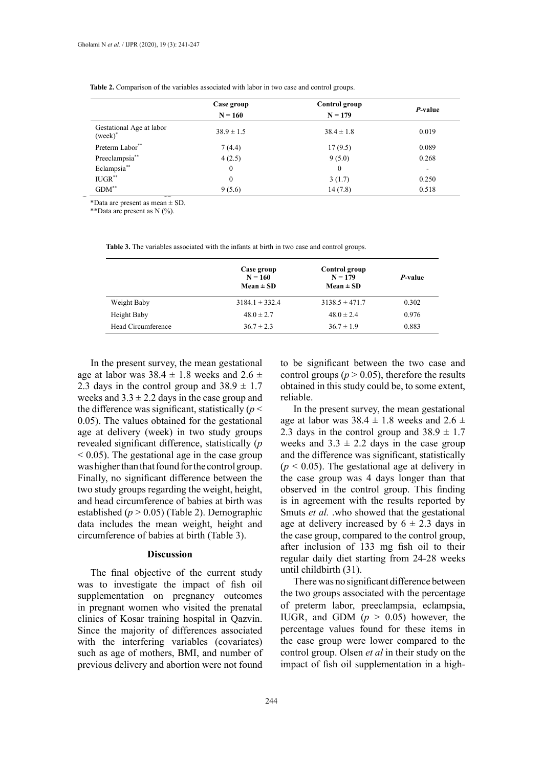|                                        | Case group<br>$N = 160$ | Control group<br>$N = 179$ | P-value                  |
|----------------------------------------|-------------------------|----------------------------|--------------------------|
| Gestational Age at labor<br>$(week)^*$ | $38.9 \pm 1.5$          | $38.4 \pm 1.8$             | 0.019                    |
| Preterm Labor**                        | 7(4.4)                  | 17(9.5)                    | 0.089                    |
| Preeclampsia**                         | 4(2.5)                  | 9(5.0)                     | 0.268                    |
| Eclampsia**                            | $\mathbf{0}$            | $\mathbf{0}$               | $\overline{\phantom{a}}$ |
| $IUGR$ **                              | $\mathbf{0}$            | 3(1.7)                     | 0.250                    |
| $\text{GDM}^{**}$                      | 9(5.6)                  | 14(7.8)                    | 0.518                    |

**Table 2**. Comparison of the variables associated with labor in two case and control groups. **Table 2.** Comparison of the variables associated with labor in two case and control groups.

\*Data are present as mean  $\pm$  SD.<br>\*\*Data are present as N (%).

\*\*Data are present as N (%).

**Table 3.** The variables associated with the infants at birth in two case and control groups. **Table 3.** The variables associated with the infants at birth in two case and control groups.

|                    | Case group<br>$N = 160$<br>$Mean \pm SD$ | Control group<br>$N = 179$<br>$Mean \pm SD$ | <i>P</i> -value |
|--------------------|------------------------------------------|---------------------------------------------|-----------------|
| Weight Baby        | $3184.1 \pm 332.4$                       | $3138.5 \pm 471.7$                          | 0.302           |
| Height Baby        | $48.0 \pm 2.7$                           | $48.0 \pm 2.4$                              | 0.976           |
| Head Circumference | $36.7 \pm 2.3$                           | $36.7 \pm 1.9$                              | 0.883           |

In the present survey, the mean gestational age at labor was  $38.4 \pm 1.8$  weeks and  $2.6 \pm 1.8$ 2.3 days in the control group and  $38.9 \pm 1.7$ weeks and  $3.3 \pm 2.2$  days in the case group and the difference was significant, statistically  $(p <$ 0.05). The values obtained for the gestational age at delivery (week) in two study groups revealed significant difference, statistically (*p*   $\leq$  0.05). The gestational age in the case group was higher than that found for the control group. Finally, no significant difference between the two study groups regarding the weight, height, and head circumference of babies at birth was established (*p* > 0.05) (Table 2). Demographic data includes the mean weight, height and circumference of babies at birth (Table 3).

#### **Discussion**

The final objective of the current study was to investigate the impact of fish oil supplementation on pregnancy outcomes in pregnant women who visited the prenatal clinics of Kosar training hospital in Qazvin. Since the majority of differences associated with the interfering variables (covariates) such as age of mothers, BMI, and number of previous delivery and abortion were not found

to be significant between the two case and control groups ( $p > 0.05$ ), therefore the results obtained in this study could be, to some extent, reliable.

In the present survey, the mean gestational age at labor was  $38.4 \pm 1.8$  weeks and  $2.6 \pm 1.8$ 2.3 days in the control group and  $38.9 \pm 1.7$ weeks and  $3.3 \pm 2.2$  days in the case group and the difference was significant, statistically  $(p < 0.05)$ . The gestational age at delivery in the case group was 4 days longer than that observed in the control group. This finding is in agreement with the results reported by Smuts *et al.* .who showed that the gestational age at delivery increased by  $6 \pm 2.3$  days in the case group, compared to the control group, after inclusion of 133 mg fish oil to their regular daily diet starting from 24-28 weeks until childbirth (31).

There was no significant difference between the two groups associated with the percentage of preterm labor, preeclampsia, eclampsia, IUGR, and GDM (*p* > 0.05) however, the percentage values found for these items in the case group were lower compared to the control group. Olsen *et al* in their study on the impact of fish oil supplementation in a high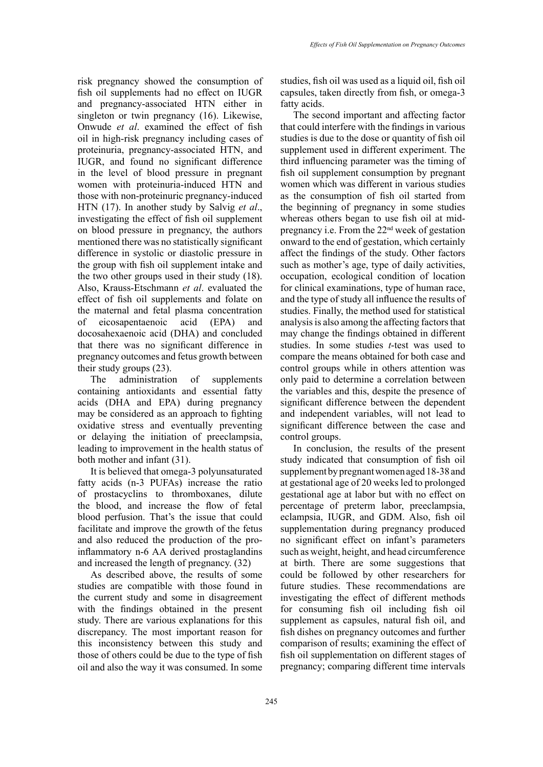risk pregnancy showed the consumption of fish oil supplements had no effect on IUGR and pregnancy-associated HTN either in singleton or twin pregnancy (16). Likewise, Onwude *et al*. examined the effect of fish oil in high-risk pregnancy including cases of proteinuria, pregnancy-associated HTN, and IUGR, and found no significant difference in the level of blood pressure in pregnant women with proteinuria-induced HTN and those with non-proteinuric pregnancy-induced HTN (17). In another study by Salvig *et al*., investigating the effect of fish oil supplement on blood pressure in pregnancy, the authors mentioned there was no statistically significant difference in systolic or diastolic pressure in the group with fish oil supplement intake and the two other groups used in their study (18). Also, Krauss-Etschmann *et al*. evaluated the effect of fish oil supplements and folate on the maternal and fetal plasma concentration of eicosapentaenoic acid (EPA) and docosahexaenoic acid (DHA) and concluded that there was no significant difference in pregnancy outcomes and fetus growth between their study groups (23).

The administration of supplements containing antioxidants and essential fatty acids (DHA and EPA) during pregnancy may be considered as an approach to fighting oxidative stress and eventually preventing or delaying the initiation of preeclampsia, leading to improvement in the health status of both mother and infant (31).

It is believed that omega-3 polyunsaturated fatty acids (n-3 PUFAs) increase the ratio of prostacyclins to thromboxanes, dilute the blood, and increase the flow of fetal blood perfusion. That's the issue that could facilitate and improve the growth of the fetus and also reduced the production of the proinflammatory n-6 AA derived prostaglandins and increased the length of pregnancy. (32)

As described above, the results of some studies are compatible with those found in the current study and some in disagreement with the findings obtained in the present study. There are various explanations for this discrepancy. The most important reason for this inconsistency between this study and those of others could be due to the type of fish oil and also the way it was consumed. In some

studies, fish oil was used as a liquid oil, fish oil capsules, taken directly from fish, or omega-3 fatty acids.

The second important and affecting factor that could interfere with the findings in various studies is due to the dose or quantity of fish oil supplement used in different experiment. The third influencing parameter was the timing of fish oil supplement consumption by pregnant women which was different in various studies as the consumption of fish oil started from the beginning of pregnancy in some studies whereas others began to use fish oil at midpregnancy i.e. From the 22nd week of gestation onward to the end of gestation, which certainly affect the findings of the study. Other factors such as mother's age, type of daily activities, occupation, ecological condition of location for clinical examinations, type of human race, and the type of study all influence the results of studies. Finally, the method used for statistical analysis is also among the affecting factors that may change the findings obtained in different studies. In some studies *t*-test was used to compare the means obtained for both case and control groups while in others attention was only paid to determine a correlation between the variables and this, despite the presence of significant difference between the dependent and independent variables, will not lead to significant difference between the case and control groups.

In conclusion, the results of the present study indicated that consumption of fish oil supplement by pregnant women aged 18-38 and at gestational age of 20 weeks led to prolonged gestational age at labor but with no effect on percentage of preterm labor, preeclampsia, eclampsia, IUGR, and GDM. Also, fish oil supplementation during pregnancy produced no significant effect on infant's parameters such as weight, height, and head circumference at birth. There are some suggestions that could be followed by other researchers for future studies. These recommendations are investigating the effect of different methods for consuming fish oil including fish oil supplement as capsules, natural fish oil, and fish dishes on pregnancy outcomes and further comparison of results; examining the effect of fish oil supplementation on different stages of pregnancy; comparing different time intervals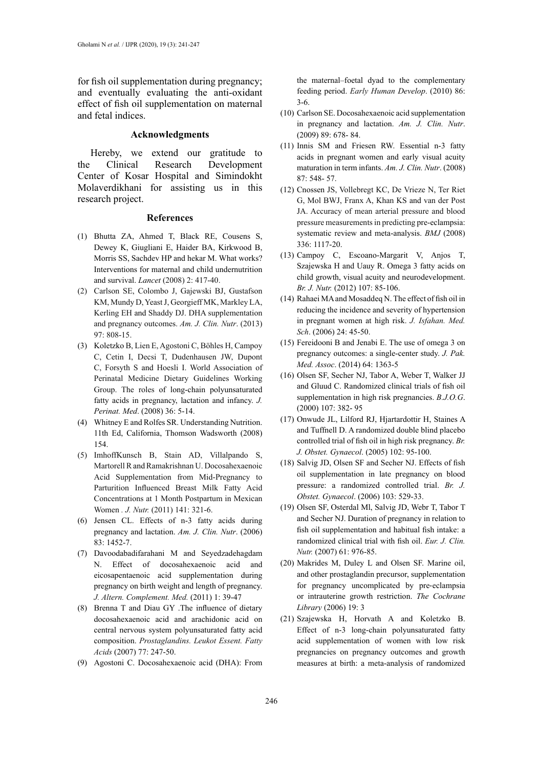for fish oil supplementation during pregnancy; and eventually evaluating the anti-oxidant effect of fish oil supplementation on maternal and fetal indices.

### **Acknowledgments**

Hereby, we extend our gratitude to the Clinical Research Development Center of Kosar Hospital and Simindokht Molaverdikhani for assisting us in this research project.

#### **References**

- (1) Bhutta ZA, Ahmed T, Black RE, Cousens S, Dewey K, Giugliani E, Haider BA, Kirkwood B, Morris SS, Sachdev HP and hekar M. What works? Interventions for maternal and child undernutrition and survival. *Lancet* (2008) 2: 417-40.
- (2) Carlson SE, Colombo J, Gajewski BJ, Gustafson KM, Mundy D, Yeast J, Georgieff MK, Markley LA, Kerling EH and Shaddy DJ. DHA supplementation and pregnancy outcomes. *Am. J. Clin. Nutr*. (2013) 97: 808-15.
- (3) Koletzko B, Lien E, Agostoni C, Böhles H, Campoy C, Cetin I, Decsi T, Dudenhausen JW, Dupont C, Forsyth S and Hoesli I. World Association of Perinatal Medicine Dietary Guidelines Working Group. The roles of long-chain polyunsaturated fatty acids in pregnancy, lactation and infancy. *J. Perinat. Med*. (2008) 36: 5-14.
- (4) Whitney E and Rolfes SR. Understanding Nutrition. 11th Ed, California, Thomson Wadsworth (2008) 154.
- (5) ImhoffKunsch B, Stain AD, Villalpando S, Martorell R and Ramakrishnan U. Docosahexaenoic Acid Supplementation from Mid-Pregnancy to Parturition Influenced Breast Milk Fatty Acid Concentrations at 1 Month Postpartum in Mexican Women *. J. Nutr.* (2011) 141: 321-6.
- (6) Jensen CL. Effects of n-3 fatty acids during pregnancy and lactation. *Am. J. Clin. Nutr*. (2006) 83: 1452-7.
- (7) Davoodabadifarahani M and Seyedzadehagdam N. Effect of docosahexaenoic acid and eicosapentaenoic acid supplementation during pregnancy on birth weight and length of pregnancy. *J. Altern. Complement. Med.* (2011) 1: 39-47
- (8) Brenna T and Diau GY .The influence of dietary docosahexaenoic acid and arachidonic acid on central nervous system polyunsaturated fatty acid composition. *Prostaglandins. Leukot Essent. Fatty Acids* (2007) 77: 247-50.
- (9) Agostoni C. Docosahexaenoic acid (DHA): From

the maternal–foetal dyad to the complementary feeding period. *Early Human Develop*. (2010) 86: 3-6.

- (10) Carlson SE. Docosahexaenoic acid supplementation in pregnancy and lactation. *Am. J. Clin. Nutr*. (2009) 89: 678- 84.
- (11) Innis SM and Friesen RW. Essential n-3 fatty acids in pregnant women and early visual acuity maturation in term infants. *Am. J. Clin. Nutr*. (2008) 87: 548- 57.
- (12) Cnossen JS, Vollebregt KC, De Vrieze N, Ter Riet G, Mol BWJ, Franx A, Khan KS and van der Post JA. Accuracy of mean arterial pressure and blood pressure measurements in predicting pre-eclampsia: systematic review and meta-analysis. *BMJ* (2008) 336: 1117-20.
- (13) Campoy C, Escoano-Margarit V, Anjos T, Szajewska H and Uauy R. Omega 3 fatty acids on child growth, visual acuity and neurodevelopment. *Br. J. Nutr.* (2012) 107: 85-106.
- (14) Rahaei MA and Mosaddeq N. The effect of fish oil in reducing the incidence and severity of hypertension in pregnant women at high risk. *J. Isfahan. Med. Sch*. (2006) 24: 45-50.
- (15) Fereidooni B and Jenabi E. The use of omega 3 on pregnancy outcomes: a single-center study. *J. Pak. Med. Assoc*. (2014) 64: 1363-5
- (16) Olsen SF, Secher NJ, Tabor A, Weber T, Walker JJ and Gluud C. Randomized clinical trials of fish oil supplementation in high risk pregnancies. *B.J.O.G*. (2000) 107: 382- 95
- (17) Onwude JL, Lilford RJ, Hjartardottir H, Staines A and Tuffnell D. A randomized double blind placebo controlled trial of fish oil in high risk pregnancy. *Br. J. Obstet. Gynaecol*. (2005) 102: 95-100.
- (18) Salvig JD, Olsen SF and Secher NJ. Effects of fish oil supplementation in late pregnancy on blood pressure: a randomized controlled trial. *Br. J. Obstet. Gynaecol*. (2006) 103: 529-33.
- (19) Olsen SF, Osterdal Ml, Salvig JD, Webr T, Tabor T and Secher NJ. Duration of pregnancy in relation to fish oil supplementation and habitual fish intake: a randomized clinical trial with fish oil. *Eur. J. Clin. Nutr.* (2007) 61: 976-85.
- (20) Makrides M, Duley L and Olsen SF. Marine oil, and other prostaglandin precursor, supplementation for pregnancy uncomplicated by pre-eclampsia or intrauterine growth restriction. *The Cochrane Library* (2006) 19: 3
- (21) Szajewska H, Horvath A and Koletzko B. Effect of n-3 long-chain polyunsaturated fatty acid supplementation of women with low risk pregnancies on pregnancy outcomes and growth measures at birth: a meta-analysis of randomized